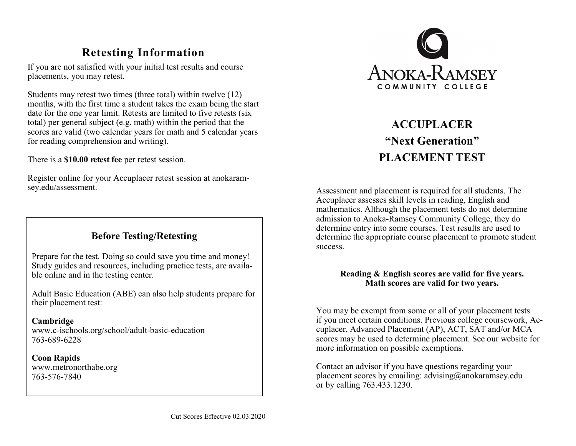## **Retesting Information**

If you are not satisfied with your initial test results and course placements, you may retest.

Students may retest two times (three total) within twelve (12) months, with the first time a student takes the exam being the start date for the one year limit. Retests are limited to five retests (six total) per general subject (e.g. math) within the period that the scores are valid (two calendar years for math and 5 calendar years for reading comprehension and writing).

There is a **\$10.00 retest fee** per retest session.

Register online for your Accuplacer retest session at anokaramsey.edu/assessment.

## **Before Testing/Retesting**

Prepare for the test. Doing so could save you time and money! Study guides and resources, including practice tests, are available online and in the testing center.

Adult Basic Education (ABE) can also help students prepare for their placement test:

**Cambridge** www.c-ischools.org/school/adult-basic-education 763-689-6228

**Coon Rapids** www.metronorthabe.org 763-576-7840



# **ACCUPLACER "Next Generation" PLACEMENT TEST**

Assessment and placement is required for all students. The Accuplacer assesses skill levels in reading, English and mathematics. Although the placement tests do not determine admission to Anoka-Ramsey Community College, they do determine entry into some courses. Test results are used to determine the appropriate course placement to promote student success.

### **Reading & English scores are valid for five years. Math scores are valid for two years.**

You may be exempt from some or all of your placement tests if you meet certain conditions. Previous college coursework, Accuplacer, Advanced Placement (AP), ACT, SAT and/or MCA scores may be used to determine placement. See our website for more information on possible exemptions.

Contact an advisor if you have questions regarding your placement scores by emailing:  $\frac{1}{2}$  advising  $\frac{1}{2}$  anokaramsey.edu or by calling 763.433.1230.